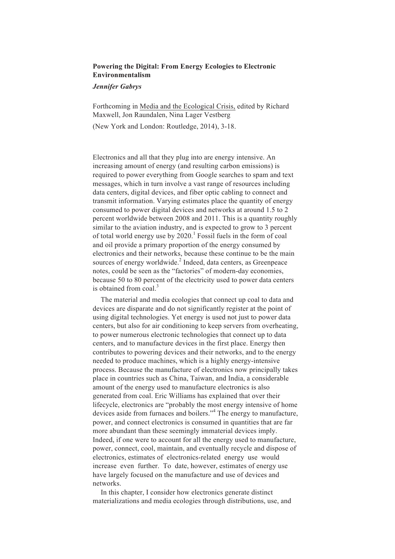# **Powering the Digital: From Energy Ecologies to Electronic Environmentalism**

## *Jennifer Gabrys*

Forthcoming in Media and the Ecological Crisis, edited by Richard Maxwell, Jon Raundalen, Nina Lager Vestberg (New York and London: Routledge, 2014), 3-18.

Electronics and all that they plug into are energy intensive. An increasing amount of energy (and resulting carbon emissions) is required to power everything from Google searches to spam and text messages, which in turn involve a vast range of resources including data centers, digital devices, and fiber optic cabling to connect and transmit information. Varying estimates place the quantity of energy consumed to power digital devices and networks at around 1.5 to 2 percent worldwide between 2008 and 2011. This is a quantity roughly similar to the aviation industry, and is expected to grow to 3 percent of total world energy use by  $2020$ .<sup>1</sup> Fossil fuels in the form of coal and oil provide a primary proportion of the energy consumed by electronics and their networks, because these continue to be the main sources of energy worldwide.<sup>2</sup> Indeed, data centers, as Greenpeace notes, could be seen as the "factories" of modern-day economies, because 50 to 80 percent of the electricity used to power data centers is obtained from  $\cosh^3$ 

The material and media ecologies that connect up coal to data and devices are disparate and do not significantly register at the point of using digital technologies. Yet energy is used not just to power data centers, but also for air conditioning to keep servers from overheating, to power numerous electronic technologies that connect up to data centers, and to manufacture devices in the first place. Energy then contributes to powering devices and their networks, and to the energy needed to produce machines, which is a highly energy-intensive process. Because the manufacture of electronics now principally takes place in countries such as China, Taiwan, and India, a considerable amount of the energy used to manufacture electronics is also generated from coal. Eric Williams has explained that over their lifecycle, electronics are "probably the most energy intensive of home devices aside from furnaces and boilers."<sup>4</sup> The energy to manufacture, power, and connect electronics is consumed in quantities that are far more abundant than these seemingly immaterial devices imply. Indeed, if one were to account for all the energy used to manufacture, power, connect, cool, maintain, and eventually recycle and dispose of electronics, estimates of electronics-related energy use would increase even further. To date, however, estimates of energy use have largely focused on the manufacture and use of devices and networks.

In this chapter, I consider how electronics generate distinct materializations and media ecologies through distributions, use, and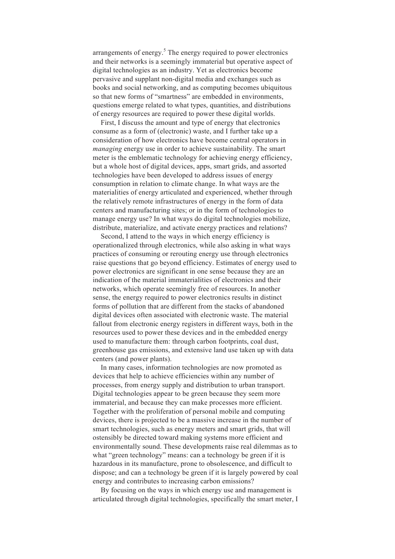arrangements of energy.<sup>5</sup> The energy required to power electronics and their networks is a seemingly immaterial but operative aspect of digital technologies as an industry. Yet as electronics become pervasive and supplant non-digital media and exchanges such as books and social networking, and as computing becomes ubiquitous so that new forms of "smartness" are embedded in environments, questions emerge related to what types, quantities, and distributions of energy resources are required to power these digital worlds.

First, I discuss the amount and type of energy that electronics consume as a form of (electronic) waste, and I further take up a consideration of how electronics have become central operators in *managing* energy use in order to achieve sustainability. The smart meter is the emblematic technology for achieving energy efficiency, but a whole host of digital devices, apps, smart grids, and assorted technologies have been developed to address issues of energy consumption in relation to climate change. In what ways are the materialities of energy articulated and experienced, whether through the relatively remote infrastructures of energy in the form of data centers and manufacturing sites; or in the form of technologies to manage energy use? In what ways do digital technologies mobilize, distribute, materialize, and activate energy practices and relations?

Second, I attend to the ways in which energy efficiency is operationalized through electronics, while also asking in what ways practices of consuming or rerouting energy use through electronics raise questions that go beyond efficiency. Estimates of energy used to power electronics are significant in one sense because they are an indication of the material immaterialities of electronics and their networks, which operate seemingly free of resources. In another sense, the energy required to power electronics results in distinct forms of pollution that are different from the stacks of abandoned digital devices often associated with electronic waste. The material fallout from electronic energy registers in different ways, both in the resources used to power these devices and in the embedded energy used to manufacture them: through carbon footprints, coal dust, greenhouse gas emissions, and extensive land use taken up with data centers (and power plants).

In many cases, information technologies are now promoted as devices that help to achieve efficiencies within any number of processes, from energy supply and distribution to urban transport. Digital technologies appear to be green because they seem more immaterial, and because they can make processes more efficient. Together with the proliferation of personal mobile and computing devices, there is projected to be a massive increase in the number of smart technologies, such as energy meters and smart grids, that will ostensibly be directed toward making systems more efficient and environmentally sound. These developments raise real dilemmas as to what "green technology" means: can a technology be green if it is hazardous in its manufacture, prone to obsolescence, and difficult to dispose; and can a technology be green if it is largely powered by coal energy and contributes to increasing carbon emissions?

By focusing on the ways in which energy use and management is articulated through digital technologies, specifically the smart meter, I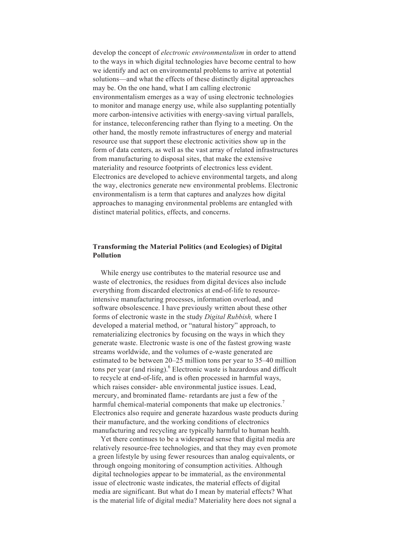develop the concept of *electronic environmentalism* in order to attend to the ways in which digital technologies have become central to how we identify and act on environmental problems to arrive at potential solutions—and what the effects of these distinctly digital approaches may be. On the one hand, what I am calling electronic environmentalism emerges as a way of using electronic technologies to monitor and manage energy use, while also supplanting potentially more carbon-intensive activities with energy-saving virtual parallels, for instance, teleconferencing rather than flying to a meeting. On the other hand, the mostly remote infrastructures of energy and material resource use that support these electronic activities show up in the form of data centers, as well as the vast array of related infrastructures from manufacturing to disposal sites, that make the extensive materiality and resource footprints of electronics less evident. Electronics are developed to achieve environmental targets, and along the way, electronics generate new environmental problems. Electronic environmentalism is a term that captures and analyzes how digital approaches to managing environmental problems are entangled with distinct material politics, effects, and concerns.

### **Transforming the Material Politics (and Ecologies) of Digital Pollution**

While energy use contributes to the material resource use and waste of electronics, the residues from digital devices also include everything from discarded electronics at end-of-life to resourceintensive manufacturing processes, information overload, and software obsolescence. I have previously written about these other forms of electronic waste in the study *Digital Rubbish,* where I developed a material method, or "natural history" approach, to rematerializing electronics by focusing on the ways in which they generate waste. Electronic waste is one of the fastest growing waste streams worldwide, and the volumes of e-waste generated are estimated to be between 20–25 million tons per year to 35–40 million tons per year (and rising). $6$  Electronic waste is hazardous and difficult to recycle at end-of-life, and is often processed in harmful ways, which raises consider- able environmental justice issues. Lead, mercury, and brominated flame- retardants are just a few of the harmful chemical-material components that make up electronics.<sup>7</sup> Electronics also require and generate hazardous waste products during their manufacture, and the working conditions of electronics manufacturing and recycling are typically harmful to human health.

Yet there continues to be a widespread sense that digital media are relatively resource-free technologies, and that they may even promote a green lifestyle by using fewer resources than analog equivalents, or through ongoing monitoring of consumption activities. Although digital technologies appear to be immaterial, as the environmental issue of electronic waste indicates, the material effects of digital media are significant. But what do I mean by material effects? What is the material life of digital media? Materiality here does not signal a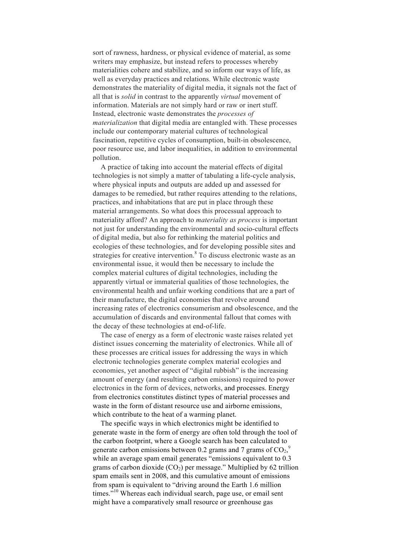sort of rawness, hardness, or physical evidence of material, as some writers may emphasize, but instead refers to processes whereby materialities cohere and stabilize, and so inform our ways of life, as well as everyday practices and relations. While electronic waste demonstrates the materiality of digital media, it signals not the fact of all that is *solid* in contrast to the apparently *virtual* movement of information. Materials are not simply hard or raw or inert stuff. Instead, electronic waste demonstrates the *processes of materialization* that digital media are entangled with. These processes include our contemporary material cultures of technological fascination, repetitive cycles of consumption, built-in obsolescence, poor resource use, and labor inequalities, in addition to environmental pollution.

A practice of taking into account the material effects of digital technologies is not simply a matter of tabulating a life-cycle analysis, where physical inputs and outputs are added up and assessed for damages to be remedied, but rather requires attending to the relations, practices, and inhabitations that are put in place through these material arrangements. So what does this processual approach to materiality afford? An approach to *materiality as process* is important not just for understanding the environmental and socio-cultural effects of digital media, but also for rethinking the material politics and ecologies of these technologies, and for developing possible sites and strategies for creative intervention.<sup>8</sup> To discuss electronic waste as an environmental issue, it would then be necessary to include the complex material cultures of digital technologies, including the apparently virtual or immaterial qualities of those technologies, the environmental health and unfair working conditions that are a part of their manufacture, the digital economies that revolve around increasing rates of electronics consumerism and obsolescence, and the accumulation of discards and environmental fallout that comes with the decay of these technologies at end-of-life.

The case of energy as a form of electronic waste raises related yet distinct issues concerning the materiality of electronics. While all of these processes are critical issues for addressing the ways in which electronic technologies generate complex material ecologies and economies, yet another aspect of "digital rubbish" is the increasing amount of energy (and resulting carbon emissions) required to power electronics in the form of devices, networks, and processes. Energy from electronics constitutes distinct types of material processes and waste in the form of distant resource use and airborne emissions, which contribute to the heat of a warming planet.

The specific ways in which electronics might be identified to generate waste in the form of energy are often told through the tool of the carbon footprint, where a Google search has been calculated to generate carbon emissions between 0.2 grams and 7 grams of  $CO_2^2$ , while an average spam email generates "emissions equivalent to  $0.3$ grams of carbon dioxide  $(CO<sub>2</sub>)$  per message." Multiplied by 62 trillion spam emails sent in 2008, and this cumulative amount of emissions from spam is equivalent to "driving around the Earth 1.6 million times."<sup>10</sup> Whereas each individual search, page use, or email sent might have a comparatively small resource or greenhouse gas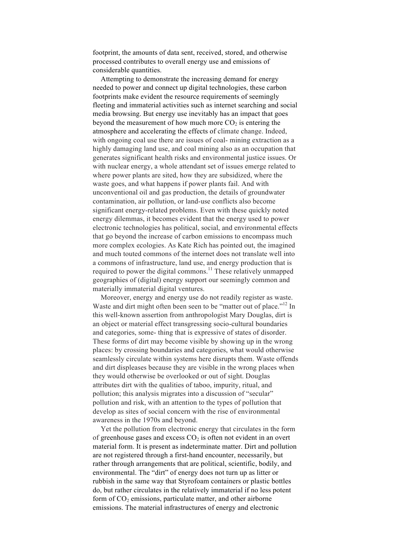footprint, the amounts of data sent, received, stored, and otherwise processed contributes to overall energy use and emissions of considerable quantities.

Attempting to demonstrate the increasing demand for energy needed to power and connect up digital technologies, these carbon footprints make evident the resource requirements of seemingly fleeting and immaterial activities such as internet searching and social media browsing. But energy use inevitably has an impact that goes beyond the measurement of how much more  $CO<sub>2</sub>$  is entering the atmosphere and accelerating the effects of climate change. Indeed, with ongoing coal use there are issues of coal- mining extraction as a highly damaging land use, and coal mining also as an occupation that generates significant health risks and environmental justice issues. Or with nuclear energy, a whole attendant set of issues emerge related to where power plants are sited, how they are subsidized, where the waste goes, and what happens if power plants fail. And with unconventional oil and gas production, the details of groundwater contamination, air pollution, or land-use conflicts also become significant energy-related problems. Even with these quickly noted energy dilemmas, it becomes evident that the energy used to power electronic technologies has political, social, and environmental effects that go beyond the increase of carbon emissions to encompass much more complex ecologies. As Kate Rich has pointed out, the imagined and much touted commons of the internet does not translate well into a commons of infrastructure, land use, and energy production that is required to power the digital commons.<sup>11</sup> These relatively unmapped geographies of (digital) energy support our seemingly common and materially immaterial digital ventures.

Moreover, energy and energy use do not readily register as waste. Waste and dirt might often been seen to be "matter out of place."<sup>12</sup> In this well-known assertion from anthropologist Mary Douglas, dirt is an object or material effect transgressing socio-cultural boundaries and categories, some- thing that is expressive of states of disorder. These forms of dirt may become visible by showing up in the wrong places: by crossing boundaries and categories, what would otherwise seamlessly circulate within systems here disrupts them. Waste offends and dirt displeases because they are visible in the wrong places when they would otherwise be overlooked or out of sight. Douglas attributes dirt with the qualities of taboo, impurity, ritual, and pollution; this analysis migrates into a discussion of "secular" pollution and risk, with an attention to the types of pollution that develop as sites of social concern with the rise of environmental awareness in the 1970s and beyond.

Yet the pollution from electronic energy that circulates in the form of greenhouse gases and excess  $CO<sub>2</sub>$  is often not evident in an overt material form. It is present as indeterminate matter. Dirt and pollution are not registered through a first-hand encounter, necessarily, but rather through arrangements that are political, scientific, bodily, and environmental. The "dirt" of energy does not turn up as litter or rubbish in the same way that Styrofoam containers or plastic bottles do, but rather circulates in the relatively immaterial if no less potent form of  $CO<sub>2</sub>$  emissions, particulate matter, and other airborne emissions. The material infrastructures of energy and electronic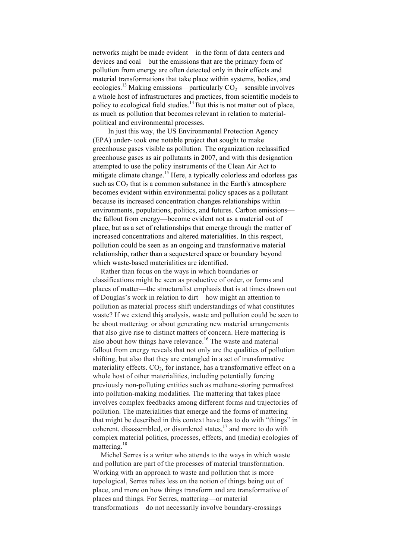networks might be made evident—in the form of data centers and devices and coal—but the emissions that are the primary form of pollution from energy are often detected only in their effects and material transformations that take place within systems, bodies, and ecologies.<sup>13</sup> Making emissions—particularly  $CO<sub>2</sub>$ —sensible involves a whole host of infrastructures and practices, from scientific models to policy to ecological field studies. $^{14}$  But this is not matter out of place, as much as pollution that becomes relevant in relation to materialpolitical and environmental processes.

In just this way, the US Environmental Protection Agency (EPA) under- took one notable project that sought to make greenhouse gases visible as pollution. The organization reclassified greenhouse gases as air pollutants in 2007, and with this designation attempted to use the policy instruments of the Clean Air Act to mitigate climate change.<sup>15</sup> Here, a typically colorless and odorless gas such as  $CO<sub>2</sub>$  that is a common substance in the Earth's atmosphere becomes evident within environmental policy spaces as a pollutant because its increased concentration changes relationships within environments, populations, politics, and futures. Carbon emissions the fallout from energy—become evident not as a material out of place, but as a set of relationships that emerge through the matter of increased concentrations and altered materialities. In this respect, pollution could be seen as an ongoing and transformative material relationship, rather than a sequestered space or boundary beyond which waste-based materialities are identified.

Rather than focus on the ways in which boundaries or classifications might be seen as productive of order, or forms and places of matter—the structuralist emphasis that is at times drawn out of Douglas's work in relation to dirt—how might an attention to pollution as material process shift understandings of what constitutes waste? If we extend this analysis, waste and pollution could be seen to be about matter*ing,* or about generating new material arrangements that also give rise to distinct matters of concern. Here mattering is also about how things have relevance.<sup>16</sup> The waste and material fallout from energy reveals that not only are the qualities of pollution shifting, but also that they are entangled in a set of transformative materiality effects.  $CO<sub>2</sub>$ , for instance, has a transformative effect on a whole host of other materialities, including potentially forcing previously non-polluting entities such as methane-storing permafrost into pollution-making modalities. The mattering that takes place involves complex feedbacks among different forms and trajectories of pollution. The materialities that emerge and the forms of mattering that might be described in this context have less to do with "things" in coherent, disassembled, or disordered states,<sup>17</sup> and more to do with complex material politics, processes, effects, and (media) ecologies of mattering.<sup>18</sup>

Michel Serres is a writer who attends to the ways in which waste and pollution are part of the processes of material transformation. Working with an approach to waste and pollution that is more topological, Serres relies less on the notion of things being out of place, and more on how things transform and are transformative of places and things. For Serres, mattering—or material transformations—do not necessarily involve boundary-crossings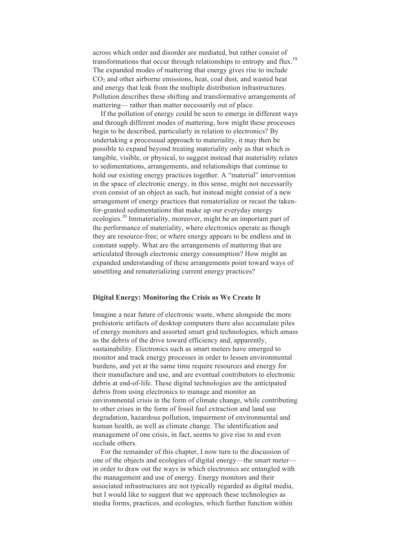across which order and disorder are mediated, but rather consist of transformations that occur through relationships to entropy and flux.<sup>19</sup> The expanded modes of mattering that energy gives rise to include CO2 and other airborne emissions, heat, coal dust, and wasted heat and energy that leak from the multiple distribution infrastructures. Pollution describes these shifting and transformative arrangements of mattering— rather than matter necessarily out of place.

If the pollution of energy could be seen to emerge in different ways and through different modes of mattering, how might these processes begin to be described, particularly in relation to electronics? By undertaking a processual approach to materiality, it may then be possible to expand beyond treating materiality only as that which is tangible, visible, or physical, to suggest instead that materiality relates to sedimentations, arrangements, and relationships that continue to hold our existing energy practices together. A "material" intervention in the space of electronic energy, in this sense, might not necessarily even consist of an object as such, but instead might consist of a new arrangement of energy practices that rematerialize or recast the takenfor-granted sedimentations that make up our everyday energy ecologies.<sup>20</sup> Immateriality, moreover, might be an important part of the performance of materiality, where electronics operate as though they are resource-free; or where energy appears to be endless and in constant supply. What are the arrangements of mattering that are articulated through electronic energy consumption? How might an expanded understanding of these arrangements point toward ways of unsettling and rematerializing current energy practices?

#### **Digital Energy: Monitoring the Crisis as We Create It**

Imagine a near future of electronic waste, where alongside the more prehistoric artifacts of desktop computers there also accumulate piles of energy monitors and assorted smart grid technologies, which amass as the debris of the drive toward efficiency and, apparently, sustainability. Electronics such as smart meters have emerged to monitor and track energy processes in order to lessen environmental burdens, and yet at the same time require resources and energy for their manufacture and use, and are eventual contributors to electronic debris at end-of-life. These digital technologies are the anticipated debris from using electronics to manage and monitor an environmental crisis in the form of climate change, while contributing to other crises in the form of fossil fuel extraction and land use degradation, hazardous pollution, impairment of environmental and human health, as well as climate change. The identification and management of one crisis, in fact, seems to give rise to and even occlude others.

For the remainder of this chapter, I now turn to the discussion of one of the objects and ecologies of digital energy—the smart meter in order to draw out the ways in which electronics are entangled with the management and use of energy. Energy monitors and their associated infrastructures are not typically regarded as digital media, but I would like to suggest that we approach these technologies as media forms, practices, and ecologies, which further function within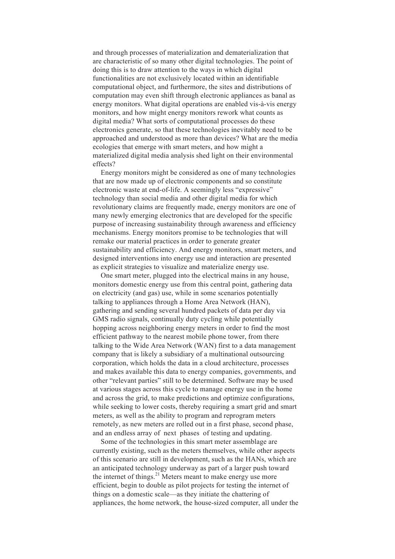and through processes of materialization and dematerialization that are characteristic of so many other digital technologies. The point of doing this is to draw attention to the ways in which digital functionalities are not exclusively located within an identifiable computational object, and furthermore, the sites and distributions of computation may even shift through electronic appliances as banal as energy monitors. What digital operations are enabled vis-à-vis energy monitors, and how might energy monitors rework what counts as digital media? What sorts of computational processes do these electronics generate, so that these technologies inevitably need to be approached and understood as more than devices? What are the media ecologies that emerge with smart meters, and how might a materialized digital media analysis shed light on their environmental effects?

Energy monitors might be considered as one of many technologies that are now made up of electronic components and so constitute electronic waste at end-of-life. A seemingly less "expressive" technology than social media and other digital media for which revolutionary claims are frequently made, energy monitors are one of many newly emerging electronics that are developed for the specific purpose of increasing sustainability through awareness and efficiency mechanisms. Energy monitors promise to be technologies that will remake our material practices in order to generate greater sustainability and efficiency. And energy monitors, smart meters, and designed interventions into energy use and interaction are presented as explicit strategies to visualize and materialize energy use.

One smart meter, plugged into the electrical mains in any house, monitors domestic energy use from this central point, gathering data on electricity (and gas) use, while in some scenarios potentially talking to appliances through a Home Area Network (HAN), gathering and sending several hundred packets of data per day via GMS radio signals, continually duty cycling while potentially hopping across neighboring energy meters in order to find the most efficient pathway to the nearest mobile phone tower, from there talking to the Wide Area Network (WAN) first to a data management company that is likely a subsidiary of a multinational outsourcing corporation, which holds the data in a cloud architecture, processes and makes available this data to energy companies, governments, and other "relevant parties" still to be determined. Software may be used at various stages across this cycle to manage energy use in the home and across the grid, to make predictions and optimize configurations, while seeking to lower costs, thereby requiring a smart grid and smart meters, as well as the ability to program and reprogram meters remotely, as new meters are rolled out in a first phase, second phase, and an endless array of next phases of testing and updating.

Some of the technologies in this smart meter assemblage are currently existing, such as the meters themselves, while other aspects of this scenario are still in development, such as the HANs, which are an anticipated technology underway as part of a larger push toward the internet of things. $^{21}$  Meters meant to make energy use more efficient, begin to double as pilot projects for testing the internet of things on a domestic scale—as they initiate the chattering of appliances, the home network, the house-sized computer, all under the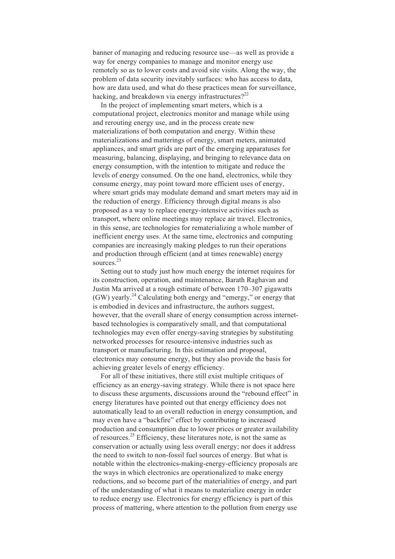banner of managing and reducing resource use—as well as provide a way for energy companies to manage and monitor energy use remotely so as to lower costs and avoid site visits. Along the way, the problem of data security inevitably surfaces: who has access to data, how are data used, and what do these practices mean for surveillance, hacking, and breakdown via energy infrastructures? $2^{22}$ 

In the project of implementing smart meters, which is a computational project, electronics monitor and manage while using and rerouting energy use, and in the process create new materializations of both computation and energy. Within these materializations and matterings of energy, smart meters, animated appliances, and smart grids are part of the emerging apparatuses for measuring, balancing, displaying, and bringing to relevance data on energy consumption, with the intention to mitigate and reduce the levels of energy consumed. On the one hand, electronics, while they consume energy, may point toward more efficient uses of energy, where smart grids may modulate demand and smart meters may aid in the reduction of energy. Efficiency through digital means is also proposed as a way to replace energy-intensive activities such as transport, where online meetings may replace air travel. Electronics, in this sense, are technologies for rematerializing a whole number of inefficient energy uses. At the same time, electronics and computing companies are increasingly making pledges to run their operations and production through efficient (and at times renewable) energy sources.<sup>23</sup>

Setting out to study just how much energy the internet requires for its construction, operation, and maintenance, Barath Raghavan and Justin Ma arrived at a rough estimate of between 170–307 gigawatts  $(GW)$  yearly.<sup>24</sup> Calculating both energy and "emergy," or energy that is embodied in devices and infrastructure, the authors suggest, however, that the overall share of energy consumption across internetbased technologies is comparatively small, and that computational technologies may even offer energy-saving strategies by substituting networked processes for resource-intensive industries such as transport or manufacturing. In this estimation and proposal, electronics may consume energy, but they also provide the basis for achieving greater levels of energy efficiency.

For all of these initiatives, there still exist multiple critiques of efficiency as an energy-saving strategy. While there is not space here to discuss these arguments, discussions around the "rebound effect" in energy literatures have pointed out that energy efficiency does not automatically lead to an overall reduction in energy consumption, and may even have a "backfire" effect by contributing to increased production and consumption due to lower prices or greater availability of resources.<sup>25</sup> Efficiency, these literatures note, is not the same as conservation or actually using less overall energy; nor does it address the need to switch to non-fossil fuel sources of energy. But what is notable within the electronics-making-energy-efficiency proposals are the ways in which electronics are operationalized to make energy reductions, and so become part of the materialities of energy, and part of the understanding of what it means to materialize energy in order to reduce energy use. Electronics for energy efficiency is part of this process of mattering, where attention to the pollution from energy use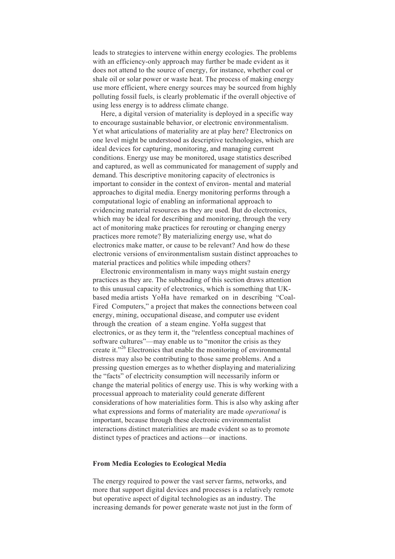leads to strategies to intervene within energy ecologies. The problems with an efficiency-only approach may further be made evident as it does not attend to the source of energy, for instance, whether coal or shale oil or solar power or waste heat. The process of making energy use more efficient, where energy sources may be sourced from highly polluting fossil fuels, is clearly problematic if the overall objective of using less energy is to address climate change.

Here, a digital version of materiality is deployed in a specific way to encourage sustainable behavior, or electronic environmentalism. Yet what articulations of materiality are at play here? Electronics on one level might be understood as descriptive technologies, which are ideal devices for capturing, monitoring, and managing current conditions. Energy use may be monitored, usage statistics described and captured, as well as communicated for management of supply and demand. This descriptive monitoring capacity of electronics is important to consider in the context of environ- mental and material approaches to digital media. Energy monitoring performs through a computational logic of enabling an informational approach to evidencing material resources as they are used. But do electronics, which may be ideal for describing and monitoring, through the very act of monitoring make practices for rerouting or changing energy practices more remote? By materializing energy use, what do electronics make matter, or cause to be relevant? And how do these electronic versions of environmentalism sustain distinct approaches to material practices and politics while impeding others?

Electronic environmentalism in many ways might sustain energy practices as they are. The subheading of this section draws attention to this unusual capacity of electronics, which is something that UKbased media artists YoHa have remarked on in describing "Coal-Fired Computers," a project that makes the connections between coal energy, mining, occupational disease, and computer use evident through the creation of a steam engine. YoHa suggest that electronics, or as they term it, the "relentless conceptual machines of software cultures"—may enable us to "monitor the crisis as they create it."<sup>26</sup> Electronics that enable the monitoring of environmental distress may also be contributing to those same problems. And a pressing question emerges as to whether displaying and materializing the "facts" of electricity consumption will necessarily inform or change the material politics of energy use. This is why working with a processual approach to materiality could generate different considerations of how materialities form. This is also why asking after what expressions and forms of materiality are made *operational* is important, because through these electronic environmentalist interactions distinct materialities are made evident so as to promote distinct types of practices and actions—or inactions.

#### **From Media Ecologies to Ecological Media**

The energy required to power the vast server farms, networks, and more that support digital devices and processes is a relatively remote but operative aspect of digital technologies as an industry. The increasing demands for power generate waste not just in the form of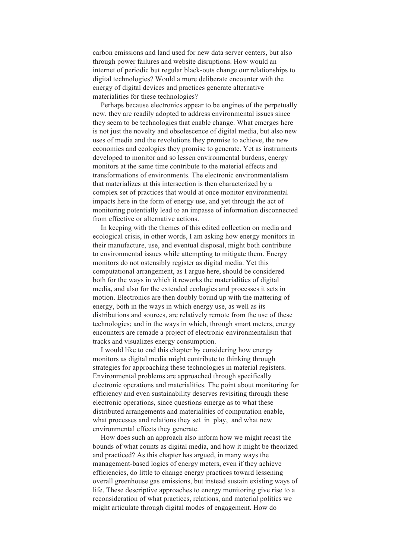carbon emissions and land used for new data server centers, but also through power failures and website disruptions. How would an internet of periodic but regular black-outs change our relationships to digital technologies? Would a more deliberate encounter with the energy of digital devices and practices generate alternative materialities for these technologies?

Perhaps because electronics appear to be engines of the perpetually new, they are readily adopted to address environmental issues since they seem to be technologies that enable change. What emerges here is not just the novelty and obsolescence of digital media, but also new uses of media and the revolutions they promise to achieve, the new economies and ecologies they promise to generate. Yet as instruments developed to monitor and so lessen environmental burdens, energy monitors at the same time contribute to the material effects and transformations of environments. The electronic environmentalism that materializes at this intersection is then characterized by a complex set of practices that would at once monitor environmental impacts here in the form of energy use, and yet through the act of monitoring potentially lead to an impasse of information disconnected from effective or alternative actions.

In keeping with the themes of this edited collection on media and ecological crisis, in other words, I am asking how energy monitors in their manufacture, use, and eventual disposal, might both contribute to environmental issues while attempting to mitigate them. Energy monitors do not ostensibly register as digital media. Yet this computational arrangement, as I argue here, should be considered both for the ways in which it reworks the materialities of digital media, and also for the extended ecologies and processes it sets in motion. Electronics are then doubly bound up with the mattering of energy, both in the ways in which energy use, as well as its distributions and sources, are relatively remote from the use of these technologies; and in the ways in which, through smart meters, energy encounters are remade a project of electronic environmentalism that tracks and visualizes energy consumption.

I would like to end this chapter by considering how energy monitors as digital media might contribute to thinking through strategies for approaching these technologies in material registers. Environmental problems are approached through specifically electronic operations and materialities. The point about monitoring for efficiency and even sustainability deserves revisiting through these electronic operations, since questions emerge as to what these distributed arrangements and materialities of computation enable, what processes and relations they set in play, and what new environmental effects they generate.

How does such an approach also inform how we might recast the bounds of what counts as digital media, and how it might be theorized and practiced? As this chapter has argued, in many ways the management-based logics of energy meters, even if they achieve efficiencies, do little to change energy practices toward lessening overall greenhouse gas emissions, but instead sustain existing ways of life. These descriptive approaches to energy monitoring give rise to a reconsideration of what practices, relations, and material politics we might articulate through digital modes of engagement. How do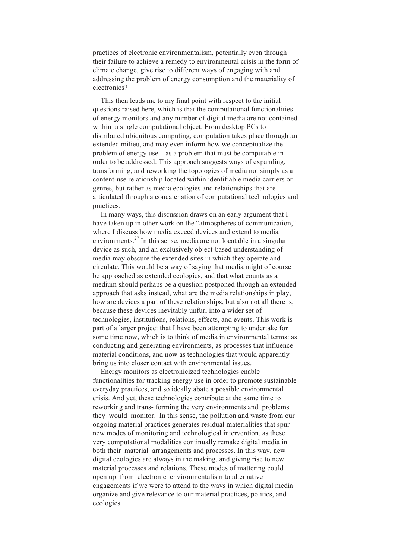practices of electronic environmentalism, potentially even through their failure to achieve a remedy to environmental crisis in the form of climate change, give rise to different ways of engaging with and addressing the problem of energy consumption and the materiality of electronics?

This then leads me to my final point with respect to the initial questions raised here, which is that the computational functionalities of energy monitors and any number of digital media are not contained within a single computational object. From desktop PCs to distributed ubiquitous computing, computation takes place through an extended milieu, and may even inform how we conceptualize the problem of energy use—as a problem that must be computable in order to be addressed. This approach suggests ways of expanding, transforming, and reworking the topologies of media not simply as a content-use relationship located within identifiable media carriers or genres, but rather as media ecologies and relationships that are articulated through a concatenation of computational technologies and practices.

In many ways, this discussion draws on an early argument that I have taken up in other work on the "atmospheres of communication," where I discuss how media exceed devices and extend to media environments.<sup>27</sup> In this sense, media are not locatable in a singular device as such, and an exclusively object-based understanding of media may obscure the extended sites in which they operate and circulate. This would be a way of saying that media might of course be approached as extended ecologies, and that what counts as a medium should perhaps be a question postponed through an extended approach that asks instead, what are the media relationships in play, how are devices a part of these relationships, but also not all there is, because these devices inevitably unfurl into a wider set of technologies, institutions, relations, effects, and events. This work is part of a larger project that I have been attempting to undertake for some time now, which is to think of media in environmental terms: as conducting and generating environments, as processes that influence material conditions, and now as technologies that would apparently bring us into closer contact with environmental issues.

Energy monitors as electronicized technologies enable functionalities for tracking energy use in order to promote sustainable everyday practices, and so ideally abate a possible environmental crisis. And yet, these technologies contribute at the same time to reworking and trans- forming the very environments and problems they would monitor. In this sense, the pollution and waste from our ongoing material practices generates residual materialities that spur new modes of monitoring and technological intervention, as these very computational modalities continually remake digital media in both their material arrangements and processes. In this way, new digital ecologies are always in the making, and giving rise to new material processes and relations. These modes of mattering could open up from electronic environmentalism to alternative engagements if we were to attend to the ways in which digital media organize and give relevance to our material practices, politics, and ecologies.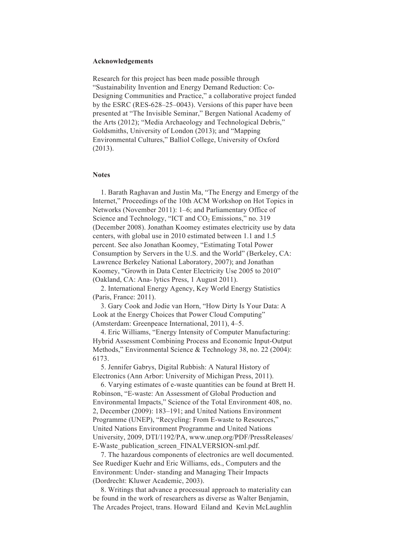#### **Acknowledgements**

Research for this project has been made possible through "Sustainability Invention and Energy Demand Reduction: Co-Designing Communities and Practice," a collaborative project funded by the ESRC (RES-628–25–0043). Versions of this paper have been presented at "The Invisible Seminar," Bergen National Academy of the Arts (2012); "Media Archaeology and Technological Debris," Goldsmiths, University of London (2013); and "Mapping Environmental Cultures," Balliol College, University of Oxford (2013).

#### **Notes**

1. Barath Raghavan and Justin Ma, "The Energy and Emergy of the Internet," Proceedings of the 10th ACM Workshop on Hot Topics in Networks (November 2011): 1–6; and Parliamentary Office of Science and Technology, "ICT and  $CO<sub>2</sub>$  Emissions," no. 319 (December 2008). Jonathan Koomey estimates electricity use by data centers, with global use in 2010 estimated between 1.1 and 1.5 percent. See also Jonathan Koomey, "Estimating Total Power Consumption by Servers in the U.S. and the World" (Berkeley, CA: Lawrence Berkeley National Laboratory, 2007); and Jonathan Koomey, "Growth in Data Center Electricity Use 2005 to 2010" (Oakland, CA: Ana- lytics Press, 1 August 2011).

2. International Energy Agency, Key World Energy Statistics (Paris, France: 2011).

3. Gary Cook and Jodie van Horn, "How Dirty Is Your Data: A Look at the Energy Choices that Power Cloud Computing" (Amsterdam: Greenpeace International, 2011), 4–5.

4. Eric Williams, "Energy Intensity of Computer Manufacturing: Hybrid Assessment Combining Process and Economic Input-Output Methods," Environmental Science & Technology 38, no. 22 (2004): 6173.

5. Jennifer Gabrys, Digital Rubbish: A Natural History of Electronics (Ann Arbor: University of Michigan Press, 2011).

6. Varying estimates of e-waste quantities can be found at Brett H. Robinson, "E-waste: An Assessment of Global Production and Environmental Impacts," Science of the Total Environment 408, no. 2, December (2009): 183–191; and United Nations Environment Programme (UNEP), "Recycling: From E-waste to Resources," United Nations Environment Programme and United Nations University, 2009, DTI/1192/PA, www.unep.org/PDF/PressReleases/ E-Waste\_publication\_screen\_FINALVERSION-sml.pdf.

7. The hazardous components of electronics are well documented. See Ruediger Kuehr and Eric Williams, eds., Computers and the Environment: Under- standing and Managing Their Impacts (Dordrecht: Kluwer Academic, 2003).

8. Writings that advance a processual approach to materiality can be found in the work of researchers as diverse as Walter Benjamin, The Arcades Project, trans. Howard Eiland and Kevin McLaughlin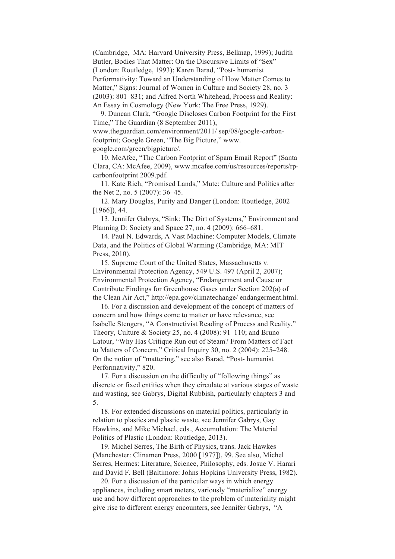(Cambridge, MA: Harvard University Press, Belknap, 1999); Judith Butler, Bodies That Matter: On the Discursive Limits of "Sex" (London: Routledge, 1993); Karen Barad, "Post- humanist Performativity: Toward an Understanding of How Matter Comes to Matter," Signs: Journal of Women in Culture and Society 28, no. 3 (2003): 801–831; and Alfred North Whitehead, Process and Reality: An Essay in Cosmology (New York: The Free Press, 1929).

9. Duncan Clark, "Google Discloses Carbon Footprint for the First Time," The Guardian (8 September 2011), www.theguardian.com/environment/2011/ sep/08/google-carbonfootprint; Google Green, "The Big Picture," www. google.com/green/bigpicture/.

10. McAfee, "The Carbon Footprint of Spam Email Report" (Santa Clara, CA: McAfee, 2009), www.mcafee.com/us/resources/reports/rpcarbonfootprint 2009.pdf.

11. Kate Rich, "Promised Lands," Mute: Culture and Politics after the Net 2, no. 5 (2007): 36–45.

12. Mary Douglas, Purity and Danger (London: Routledge, 2002 [1966]), 44.

13. Jennifer Gabrys, "Sink: The Dirt of Systems," Environment and Planning D: Society and Space 27, no. 4 (2009): 666–681.

14. Paul N. Edwards, A Vast Machine: Computer Models, Climate Data, and the Politics of Global Warming (Cambridge, MA: MIT Press, 2010).

15. Supreme Court of the United States, Massachusetts v. Environmental Protection Agency, 549 U.S. 497 (April 2, 2007); Environmental Protection Agency, "Endangerment and Cause or Contribute Findings for Greenhouse Gases under Section 202(a) of the Clean Air Act," http://epa.gov/climatechange/ endangerment.html.

16. For a discussion and development of the concept of matters of concern and how things come to matter or have relevance, see Isabelle Stengers, "A Constructivist Reading of Process and Reality," Theory, Culture & Society 25, no. 4 (2008): 91–110; and Bruno Latour, "Why Has Critique Run out of Steam? From Matters of Fact to Matters of Concern," Critical Inquiry 30, no. 2 (2004): 225–248. On the notion of "mattering," see also Barad, "Post- humanist Performativity," 820.

17. For a discussion on the difficulty of "following things" as discrete or fixed entities when they circulate at various stages of waste and wasting, see Gabrys, Digital Rubbish, particularly chapters 3 and 5.

18. For extended discussions on material politics, particularly in relation to plastics and plastic waste, see Jennifer Gabrys, Gay Hawkins, and Mike Michael, eds., Accumulation: The Material Politics of Plastic (London: Routledge, 2013).

19. Michel Serres, The Birth of Physics, trans. Jack Hawkes (Manchester: Clinamen Press, 2000 [1977]), 99. See also, Michel Serres, Hermes: Literature, Science, Philosophy, eds. Josue V. Harari and David F. Bell (Baltimore: Johns Hopkins University Press, 1982).

20. For a discussion of the particular ways in which energy appliances, including smart meters, variously "materialize" energy use and how different approaches to the problem of materiality might give rise to different energy encounters, see Jennifer Gabrys, "A